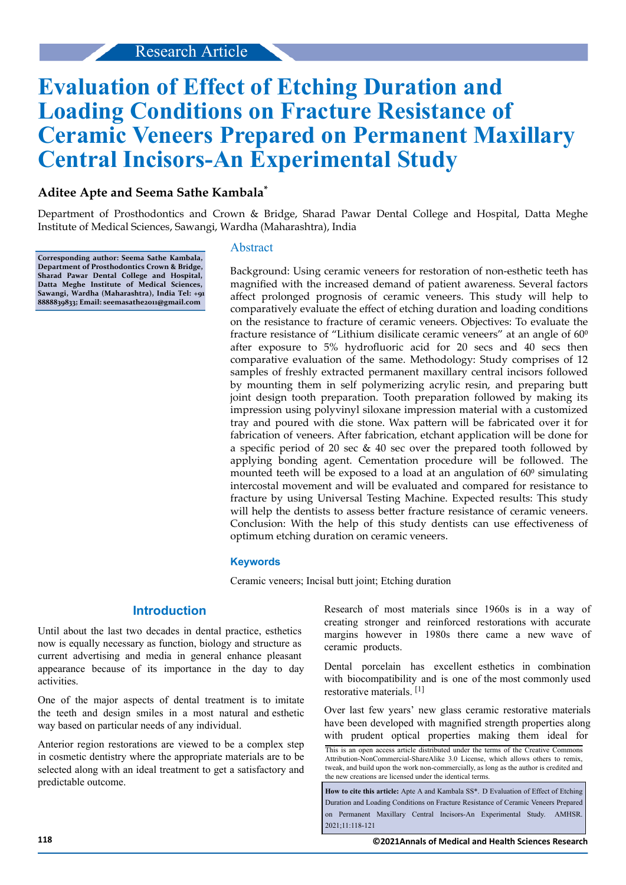# **Evaluation of Effect of Etching Duration and Loading Conditions on Fracture Resistance of Ceramic Veneers Prepared on Permanent Maxillary Central Incisors-An Experimental Study**

# **Aditee Apte and Seema Sathe Kambala\***

Department of Prosthodontics and Crown & Bridge, Sharad Pawar Dental College and Hospital, Datta Meghe Institute of Medical Sciences, Sawangi, Wardha (Maharashtra), India

**Corresponding author: Seema Sathe Kambala, Department of Prosthodontics Crown & Bridge, Sharad Pawar Dental College and Hospital, Datta Meghe Institute of Medical Sciences, Sawangi, Wardha (Maharashtra), India Tel: +91 8888839833; Email: [seemasathe2011@gmail.com](mailto: seemasathe2011@gmail.com)**

#### Abstract

Background: Using ceramic veneers for restoration of non-esthetic teeth has magnified with the increased demand of patient awareness. Several factors affect prolonged prognosis of ceramic veneers. This study will help to comparatively evaluate the effect of etching duration and loading conditions on the resistance to fracture of ceramic veneers. Objectives: To evaluate the fracture resistance of "Lithium disilicate ceramic veneers" at an angle of  $60^{\circ}$ after exposure to 5% hydrofluoric acid for 20 secs and 40 secs then comparative evaluation of the same. Methodology: Study comprises of 12 samples of freshly extracted permanent maxillary central incisors followed by mounting them in self polymerizing acrylic resin, and preparing butt joint design tooth preparation. Tooth preparation followed by making its impression using polyvinyl siloxane impression material with a customized tray and poured with die stone. Wax pattern will be fabricated over it for fabrication of veneers. After fabrication, etchant application will be done for a specific period of 20 sec & 40 sec over the prepared tooth followed by applying bonding agent. Cementation procedure will be followed. The mounted teeth will be exposed to a load at an angulation of  $60^{\circ}$  simulating intercostal movement and will be evaluated and compared for resistance to fracture by using Universal Testing Machine. Expected results: This study will help the dentists to assess better fracture resistance of ceramic veneers. Conclusion: With the help of this study dentists can use effectiveness of optimum etching duration on ceramic veneers.

#### **Keywords**

Ceramic veneers; Incisal butt joint; Etching duration

#### **Introduction**

Until about the last two decades in dental practice, esthetics now is equally necessary as function, biology and structure as current advertising and media in general enhance pleasant appearance because of its importance in the day to day activities.

One of the major aspects of dental treatment is to imitate the teeth and design smiles in a most natural and esthetic way based on particular needs of any individual.

Anterior region restorations are viewed to be a complex step in cosmetic dentistry where the appropriate materials are to be selected along with an ideal treatment to get a satisfactory and predictable outcome.

Research of most materials since 1960s is in a way of creating stronger and reinforced restorations with accurate margins however in 1980s there came a new wave of ceramic products.

Dental porcelain has excellent esthetics in combination with biocompatibility and is one of the most commonly used restorative materials. [1]

Over last few years' new glass ceramic restorative materials have been developed with magnified strength properties along with prudent optical properties making them ideal for This is an open access article distributed under the terms of the Creative Commons Attribution-NonCommercial-ShareAlike 3.0 License, which allows others to remix, tweak, and build upon the work non‑commercially, as long as the author is credited and the new creations are licensed under the identical terms.

**How to cite this article:** Apte A and Kambala SS\*. D Evaluation of Effect of Etching Duration and Loading Conditions on Fracture Resistance of Ceramic Veneers Prepared on Permanent Maxillary Central Incisors-An Experimental Study. AMHSR. 2021;11:118-121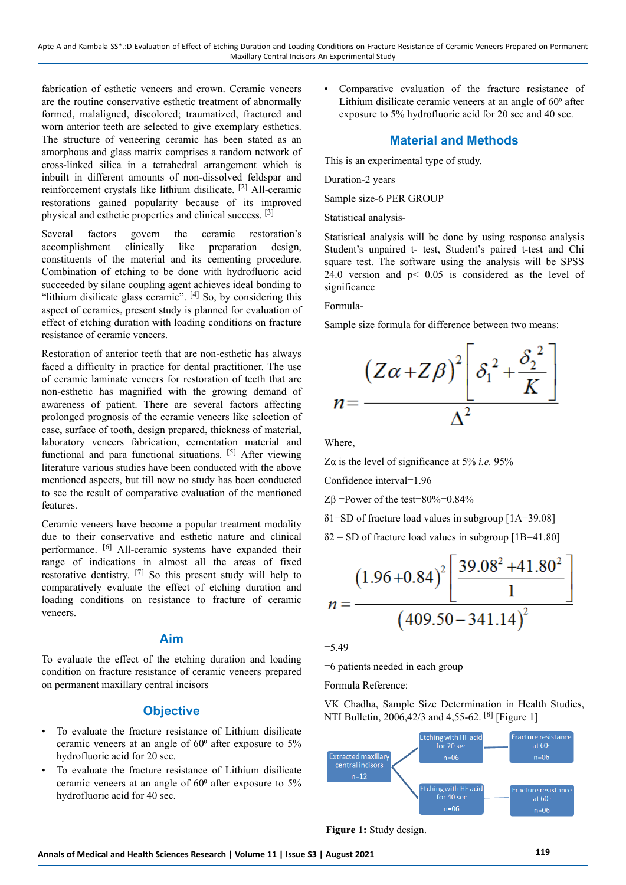fabrication of esthetic veneers and crown. Ceramic veneers are the routine conservative esthetic treatment of abnormally formed, malaligned, discolored; traumatized, fractured and worn anterior teeth are selected to give exemplary esthetics. The structure of veneering ceramic has been stated as an amorphous and glass matrix comprises a random network of cross-linked silica in a tetrahedral arrangement which is inbuilt in different amounts of non-dissolved feldspar and reinforcement crystals like lithium disilicate. [2] All-ceramic restorations gained popularity because of its improved physical and esthetic properties and clinical success. [3]

Several factors govern the ceramic restoration's accomplishment clinically like preparation design, constituents of the material and its cementing procedure. Combination of etching to be done with hydrofluoric acid succeeded by silane coupling agent achieves ideal bonding to "lithium disilicate glass ceramic". [4] So, by considering this aspect of ceramics, present study is planned for evaluation of effect of etching duration with loading conditions on fracture resistance of ceramic veneers.

Restoration of anterior teeth that are non-esthetic has always faced a difficulty in practice for dental practitioner. The use of ceramic laminate veneers for restoration of teeth that are non-esthetic has magnified with the growing demand of awareness of patient. There are several factors affecting prolonged prognosis of the ceramic veneers like selection of case, surface of tooth, design prepared, thickness of material, laboratory veneers fabrication, cementation material and functional and para functional situations. [5] After viewing literature various studies have been conducted with the above mentioned aspects, but till now no study has been conducted to see the result of comparative evaluation of the mentioned features.

Ceramic veneers have become a popular treatment modality due to their conservative and esthetic nature and clinical performance. <sup>[6]</sup> All-ceramic systems have expanded their range of indications in almost all the areas of fixed restorative dentistry. [7] So this present study will help to comparatively evaluate the effect of etching duration and loading conditions on resistance to fracture of ceramic veneers.

## **Aim**

To evaluate the effect of the etching duration and loading condition on fracture resistance of ceramic veneers prepared on permanent maxillary central incisors

# **Objective**

- To evaluate the fracture resistance of Lithium disilicate ceramic veneers at an angle of  $60^{\circ}$  after exposure to  $5\%$ hydrofluoric acid for 20 sec.
- To evaluate the fracture resistance of Lithium disilicate ceramic veneers at an angle of  $60^{\circ}$  after exposure to  $5\%$ hydrofluoric acid for 40 sec.

• Comparative evaluation of the fracture resistance of Lithium disilicate ceramic veneers at an angle of 60<sup>°</sup> after exposure to 5% hydrofluoric acid for 20 sec and 40 sec.

# **Material and Methods**

This is an experimental type of study.

Duration-2 years

Sample size-6 PER GROUP

Statistical analysis-

Statistical analysis will be done by using response analysis Student's unpaired t- test, Student's paired t-test and Chi square test. The software using the analysis will be SPSS 24.0 version and  $p < 0.05$  is considered as the level of significance

Formula-

Sample size formula for difference between two means:



Where,

Zα is the level of significance at 5% *i.e.* 95%

Confidence interval=1.96

 $Z\beta$  =Power of the test=80%=0.84%

 $\delta$ 1=SD of fracture load values in subgroup [1A=39.08]

 $\delta$ 2 = SD of fracture load values in subgroup [1B=41.80]

$$
n = \frac{(1.96 + 0.84)^{2} \left[ \frac{39.08^{2} + 41.80^{2}}{1} \right]}{(409.50 - 341.14)^{2}}
$$

 $=$  5.49

=6 patients needed in each group

Formula Reference:

VK Chadha, Sample Size Determination in Health Studies, NTI Bulletin, 2006,42/3 and 4,55-62. <sup>[8]</sup> [Figure 1]



**Figure 1:** Study design.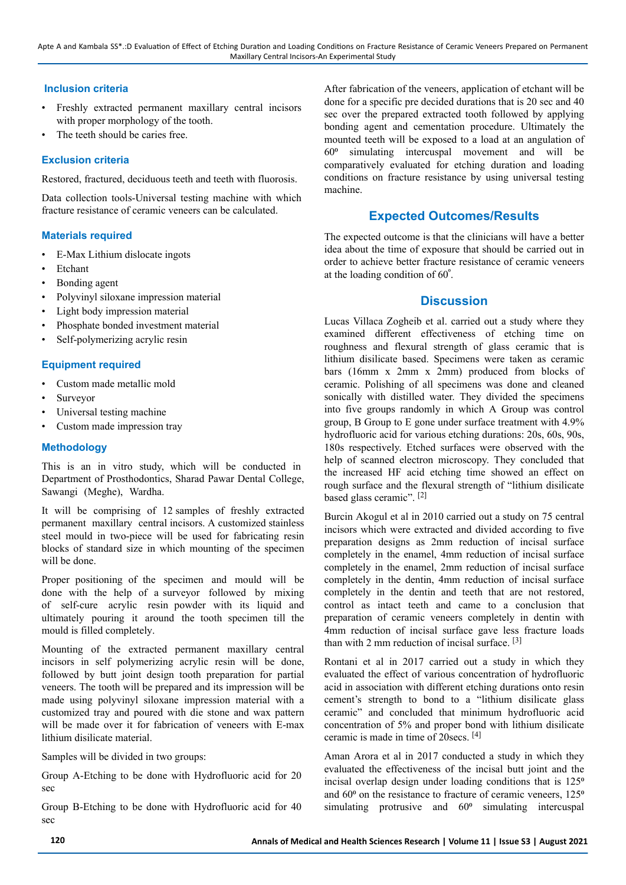#### **Inclusion criteria**

- Freshly extracted permanent maxillary central incisors with proper morphology of the tooth.
- The teeth should be caries free.

# **Exclusion criteria**

Restored, fractured, deciduous teeth and teeth with fluorosis.

Data collection tools-Universal testing machine with which fracture resistance of ceramic veneers can be calculated.

## **Materials required**

- E-Max Lithium dislocate ingots
- **Etchant**
- Bonding agent
- Polyvinyl siloxane impression material
- Light body impression material
- Phosphate bonded investment material
- Self-polymerizing acrylic resin

## **Equipment required**

- Custom made metallic mold
- **Surveyor**
- Universal testing machine
- Custom made impression tray

## **Methodology**

This is an in vitro study, which will be conducted in Department of Prosthodontics, Sharad Pawar Dental College, Sawangi (Meghe), Wardha.

It will be comprising of 12 samples of freshly extracted permanent maxillary central incisors. A customized stainless steel mould in two-piece will be used for fabricating resin blocks of standard size in which mounting of the specimen will be done.

Proper positioning of the specimen and mould will be done with the help of a surveyor followed by mixing of self-cure acrylic resin powder with its liquid and ultimately pouring it around the tooth specimen till the mould is filled completely.

Mounting of the extracted permanent maxillary central incisors in self polymerizing acrylic resin will be done, followed by butt joint design tooth preparation for partial veneers. The tooth will be prepared and its impression will be made using polyvinyl siloxane impression material with a customized tray and poured with die stone and wax pattern will be made over it for fabrication of veneers with E-max lithium disilicate material.

Samples will be divided in two groups:

Group A-Etching to be done with Hydrofluoric acid for 20 sec

Group B-Etching to be done with Hydrofluoric acid for 40 sec

After fabrication of the veneers, application of etchant will be done for a specific pre decided durations that is 20 sec and 40 sec over the prepared extracted tooth followed by applying bonding agent and cementation procedure. Ultimately the mounted teeth will be exposed to a load at an angulation of  $60<sup>o</sup>$  simulating intercuspal movement and will be comparatively evaluated for etching duration and loading conditions on fracture resistance by using universal testing machine.

# **Expected Outcomes/Results**

The expected outcome is that the clinicians will have a better idea about the time of exposure that should be carried out in order to achieve better fracture resistance of ceramic veneers at the loading condition of 60°.

# **Discussion**

Lucas Villaca Zogheib et al. carried out a study where they examined different effectiveness of etching time on roughness and flexural strength of glass ceramic that is lithium disilicate based. Specimens were taken as ceramic bars (16mm x 2mm x 2mm) produced from blocks of ceramic. Polishing of all specimens was done and cleaned sonically with distilled water. They divided the specimens into five groups randomly in which A Group was control group, B Group to E gone under surface treatment with 4.9% hydrofluoric acid for various etching durations: 20s, 60s, 90s, 180s respectively. Etched surfaces were observed with the help of scanned electron microscopy. They concluded that the increased HF acid etching time showed an effect on rough surface and the flexural strength of "lithium disilicate based glass ceramic". [2]

Burcin Akogul et al in 2010 carried out a study on 75 central incisors which were extracted and divided according to five preparation designs as 2mm reduction of incisal surface completely in the enamel, 4mm reduction of incisal surface completely in the enamel, 2mm reduction of incisal surface completely in the dentin, 4mm reduction of incisal surface completely in the dentin and teeth that are not restored, control as intact teeth and came to a conclusion that preparation of ceramic veneers completely in dentin with 4mm reduction of incisal surface gave less fracture loads than with 2 mm reduction of incisal surface. [3]

Rontani et al in 2017 carried out a study in which they evaluated the effect of various concentration of hydrofluoric acid in association with different etching durations onto resin cement's strength to bond to a "lithium disilicate glass ceramic" and concluded that minimum hydrofluoric acid concentration of 5% and proper bond with lithium disilicate ceramic is made in time of 20secs. [4]

Aman Arora et al in 2017 conducted a study in which they evaluated the effectiveness of the incisal butt joint and the incisal overlap design under loading conditions that is  $125^\circ$ and  $60^{\circ}$  on the resistance to fracture of ceramic veneers,  $125^{\circ}$ simulating protrusive and  $60<sup>o</sup>$  simulating intercuspal